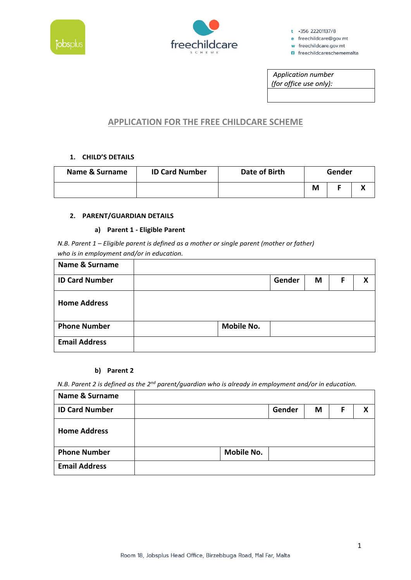



 $t$  +356 22201137/8

e freechildcare@gov.mt w freechildcare.gov.mt

**n** freechildcareschememalta

Application number (for office use only):

# **APPLICATION FOR THE FREE CHILDCARE SCHEME**

## **1. CHILD'S DETAILS**

| Name & Surname | <b>ID Card Number</b> | Date of Birth | Gender |  |  |
|----------------|-----------------------|---------------|--------|--|--|
|                |                       |               | Μ      |  |  |

## **2. PARENT/GUARDIAN DETAILS**

## **a) Parent 1 - Eligible Parent**

*N.B. Parent 1 – Eligible parent is defined as a mother or single parent (mother or father) who is in employment and/or in education.*

| Name & Surname        |                   |        |   |   |   |
|-----------------------|-------------------|--------|---|---|---|
| <b>ID Card Number</b> |                   | Gender | M | F | χ |
| <b>Home Address</b>   |                   |        |   |   |   |
| <b>Phone Number</b>   | <b>Mobile No.</b> |        |   |   |   |
| <b>Email Address</b>  |                   |        |   |   |   |

### **b) Parent 2**

*N.B. Parent 2 is defined as the 2nd parent/guardian who is already in employment and/or in education.*

| Name & Surname        |                   |        |   |   |   |
|-----------------------|-------------------|--------|---|---|---|
| <b>ID Card Number</b> |                   | Gender | M | F | х |
| <b>Home Address</b>   |                   |        |   |   |   |
| <b>Phone Number</b>   | <b>Mobile No.</b> |        |   |   |   |
| <b>Email Address</b>  |                   |        |   |   |   |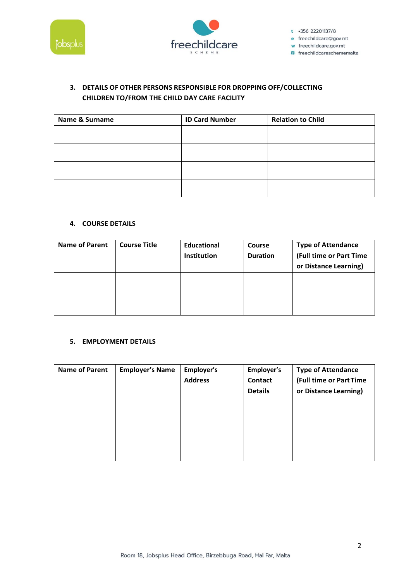



 $t$  +356 22201137/8 e freechildcare@gov.mt w freechildcare.gov.mt w neechlidcare.gov.mt<br>**n** freechildcareschememalta

## **3. DETAILS OF OTHER PERSONS RESPONSIBLE FOR DROPPING OFF/COLLECTING CHILDREN TO/FROM THE CHILD DAY CARE FACILITY**

| <b>Name &amp; Surname</b> | <b>ID Card Number</b> | <b>Relation to Child</b> |
|---------------------------|-----------------------|--------------------------|
|                           |                       |                          |
|                           |                       |                          |
|                           |                       |                          |
|                           |                       |                          |
|                           |                       |                          |

## **4. COURSE DETAILS**

| <b>Name of Parent</b> | <b>Course Title</b> | <b>Educational</b><br><b>Institution</b> | Course<br><b>Duration</b> | <b>Type of Attendance</b><br>(Full time or Part Time<br>or Distance Learning) |
|-----------------------|---------------------|------------------------------------------|---------------------------|-------------------------------------------------------------------------------|
|                       |                     |                                          |                           |                                                                               |
|                       |                     |                                          |                           |                                                                               |

## **5. EMPLOYMENT DETAILS**

| <b>Name of Parent</b> | <b>Employer's Name</b> | Employer's<br><b>Address</b> | Employer's<br><b>Contact</b><br><b>Details</b> | <b>Type of Attendance</b><br>(Full time or Part Time<br>or Distance Learning) |
|-----------------------|------------------------|------------------------------|------------------------------------------------|-------------------------------------------------------------------------------|
|                       |                        |                              |                                                |                                                                               |
|                       |                        |                              |                                                |                                                                               |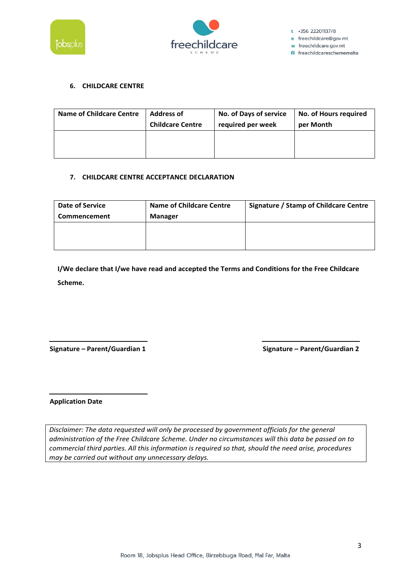



 $t$  +356 22201137/8 e freechildcare@gov.mt w freechildcare.gov.mt **n** freechildcareschememalta

## **6. CHILDCARE CENTRE**

| <b>Name of Childcare Centre</b> | <b>Address of</b>       | No. of Days of service | <b>No. of Hours required</b> |
|---------------------------------|-------------------------|------------------------|------------------------------|
|                                 | <b>Childcare Centre</b> | required per week      | per Month                    |
|                                 |                         |                        |                              |

## **7. CHILDCARE CENTRE ACCEPTANCE DECLARATION**

| Date of Service | <b>Name of Childcare Centre</b> | <b>Signature / Stamp of Childcare Centre</b> |
|-----------------|---------------------------------|----------------------------------------------|
| Commencement    | <b>Manager</b>                  |                                              |
|                 |                                 |                                              |
|                 |                                 |                                              |
|                 |                                 |                                              |

**I/We declare that I/we have read and accepted the Terms and Conditions for the Free Childcare Scheme.**

**Signature – Parent/Guardian 1 Signature – Parent/Guardian 2**

**Application Date**

*Disclaimer: The data requested will only be processed by government officials for the general administration of the Free Childcare Scheme. Under no circumstances will this data be passed on to commercial third parties. All this information is required so that, should the need arise, procedures may be carried out without any unnecessary delays.*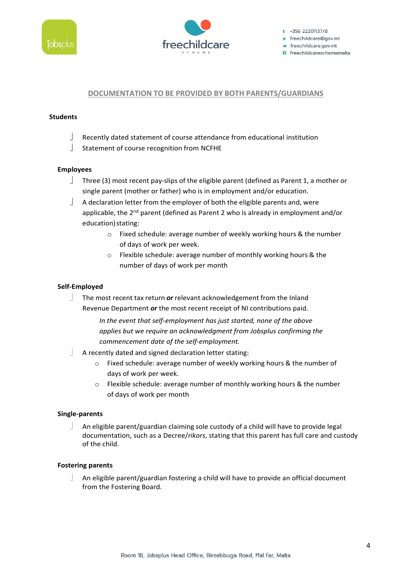



## **DOCUMENTATION TO BE PROVIDED BY BOTH PARENTS/GUARDIANS**

### **Students**

- Recently dated statement of course attendance from educational institution
- Statement of course recognition from NCFHE

#### **Employees**

- Three (3) most recent pay-slips of the eligible parent (defined as Parent 1, a mother or single parent (mother or father) who is in employment and/or education.
- A declaration letter from the employer of both the eligible parents and, were applicable, the  $2^{nd}$  parent (defined as Parent 2 who is already in employment and/or education) stating:
	- o Fixed schedule: average number of weekly working hours & the number of days of work per week.
	- o Flexible schedule: average number of monthly working hours & the number of days of work per month

### **Self-Employed**

 The most recent tax return *or* relevant acknowledgement from the Inland Revenue Department *or* the most recent receipt of NI contributions paid.

> *In the event that self-employment has just started, none of the above applies but we require an acknowledgment from Jobsplus confirming the commencement date of the self-employment.*

- A recently dated and signed declaration letter stating:
	- o Fixed schedule: average number of weekly working hours & the number of days of work per week.
	- o Flexible schedule: average number of monthly working hours & the number of days of work per month

#### **Single-parents**

 An eligible parent/guardian claiming sole custody of a child will have to provide legal documentation, such as a Decree/*rikors*, stating that this parent has full care and custody of the child.

#### **Fostering parents**

 An eligible parent/guardian fostering a child will have to provide an official document from the Fostering Board.